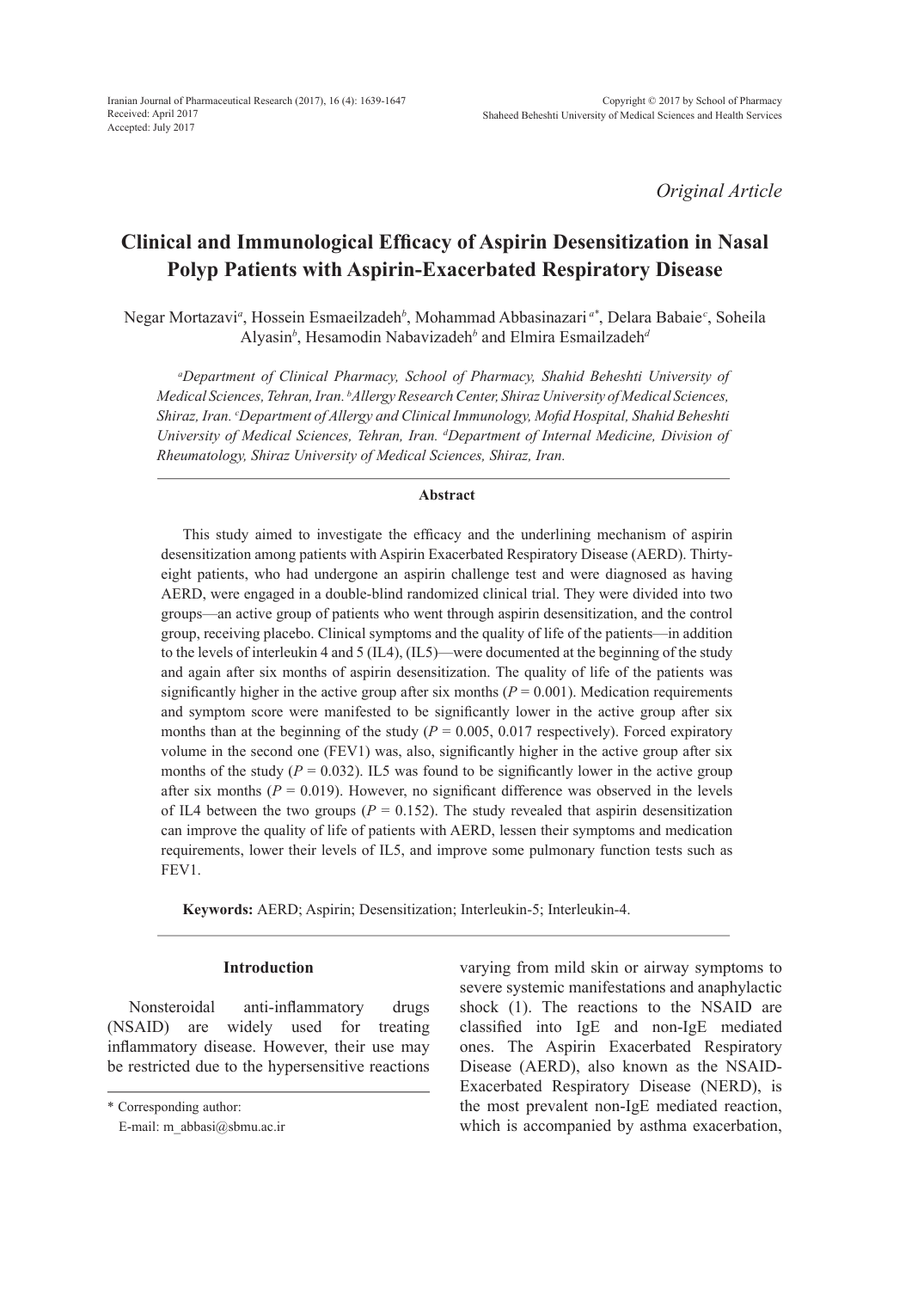*Original Article*

# **Clinical and Immunological Efficacy of Aspirin Desensitization in Nasal Polyp Patients with Aspirin-Exacerbated Respiratory Disease**

Negar Mortazavi*<sup>a</sup>* , Hossein Esmaeilzadeh*<sup>b</sup>* , Mohammad Abbasinazari *a\**, Delara Babaie*<sup>c</sup>* , Soheila Alyasin*<sup>b</sup>* , Hesamodin Nabavizadeh*<sup>b</sup>* and Elmira Esmailzadeh*<sup>d</sup>*

*a Department of Clinical Pharmacy, School of Pharmacy, Shahid Beheshti University of Medical Sciences, Tehran, Iran. b Allergy Research Center, Shiraz University of Medical Sciences, Shiraz, Iran. c Department of Allergy and Clinical Immunology, Mofid Hospital, Shahid Beheshti University of Medical Sciences, Tehran, Iran. d Department of Internal Medicine, Division of Rheumatology, Shiraz University of Medical Sciences, Shiraz, Iran.*

### **Abstract**

This study aimed to investigate the efficacy and the underlining mechanism of aspirin desensitization among patients with Aspirin Exacerbated Respiratory Disease (AERD). Thirtyeight patients, who had undergone an aspirin challenge test and were diagnosed as having AERD, were engaged in a double-blind randomized clinical trial. They were divided into two groups—an active group of patients who went through aspirin desensitization, and the control group, receiving placebo. Clinical symptoms and the quality of life of the patients—in addition to the levels of interleukin 4 and 5 (IL4), (IL5)—were documented at the beginning of the study and again after six months of aspirin desensitization. The quality of life of the patients was significantly higher in the active group after six months ( $P = 0.001$ ). Medication requirements and symptom score were manifested to be significantly lower in the active group after six months than at the beginning of the study ( $P = 0.005$ , 0.017 respectively). Forced expiratory volume in the second one (FEV1) was, also, significantly higher in the active group after six months of the study  $(P = 0.032)$ . IL5 was found to be significantly lower in the active group after six months  $(P = 0.019)$ . However, no significant difference was observed in the levels of IL4 between the two groups ( $P = 0.152$ ). The study revealed that aspirin desensitization can improve the quality of life of patients with AERD, lessen their symptoms and medication requirements, lower their levels of IL5, and improve some pulmonary function tests such as FEV1.

**Keywords:** AERD; Aspirin; Desensitization; Interleukin-5; Interleukin-4.

### **Introduction**

Nonsteroidal anti-inflammatory drugs (NSAID) are widely used for treating inflammatory disease. However, their use may be restricted due to the hypersensitive reactions varying from mild skin or airway symptoms to severe systemic manifestations and anaphylactic shock (1). The reactions to the NSAID are classified into IgE and non-IgE mediated ones. The Aspirin Exacerbated Respiratory Disease (AERD), also known as the NSAID-Exacerbated Respiratory Disease (NERD), is the most prevalent non-IgE mediated reaction, which is accompanied by asthma exacerbation,

<sup>\*</sup> Corresponding author:

E-mail: m\_abbasi@sbmu.ac.ir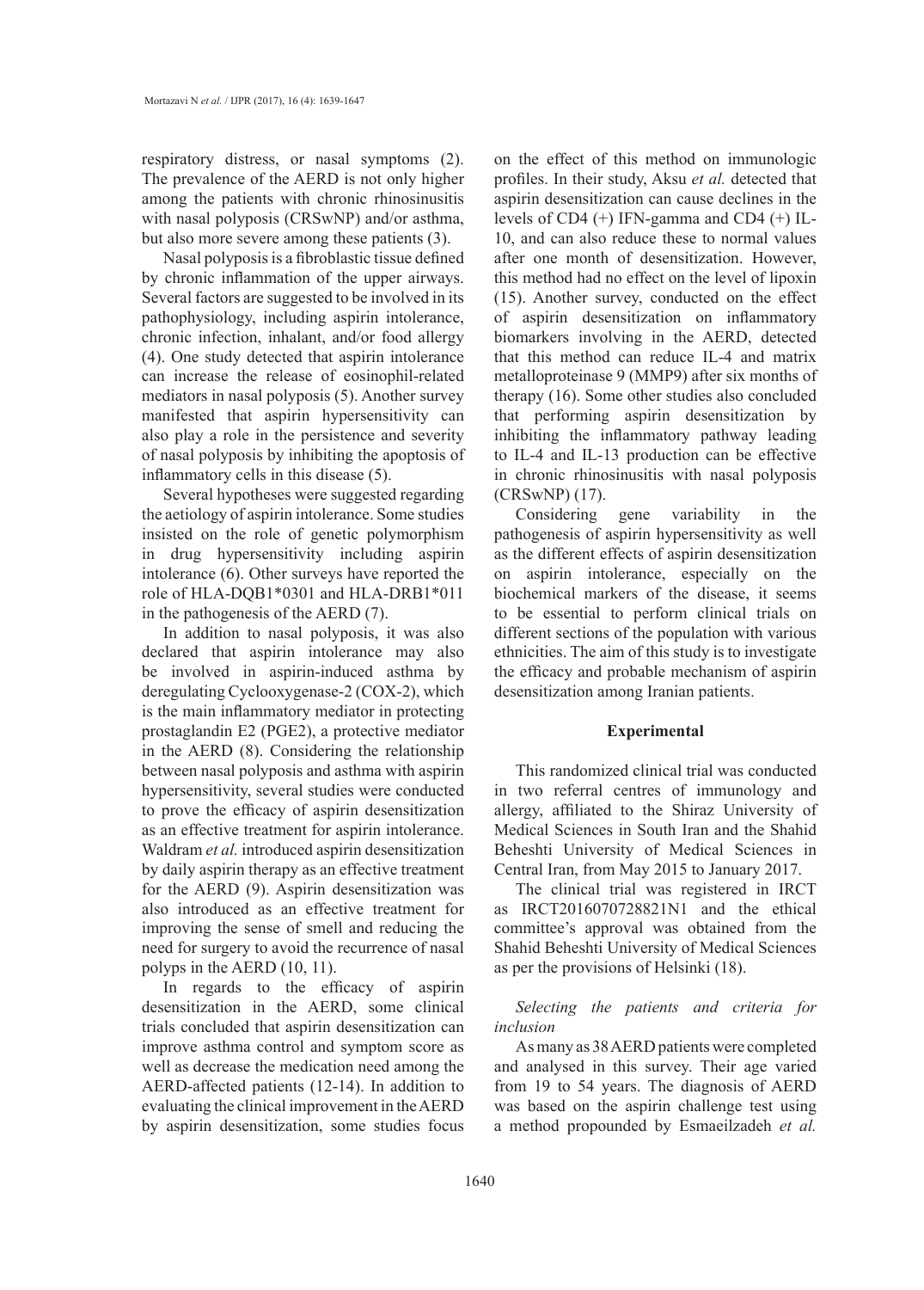respiratory distress, or nasal symptoms (2). The prevalence of the AERD is not only higher among the patients with chronic rhinosinusitis with nasal polyposis (CRSwNP) and/or asthma, but also more severe among these patients (3).

Nasal polyposis is a fibroblastic tissue defined by chronic inflammation of the upper airways. Several factors are suggested to be involved in its pathophysiology, including aspirin intolerance, chronic infection, inhalant, and/or food allergy (4). One study detected that aspirin intolerance can increase the release of eosinophil-related mediators in nasal polyposis (5). Another survey manifested that aspirin hypersensitivity can also play a role in the persistence and severity of nasal polyposis by inhibiting the apoptosis of inflammatory cells in this disease (5).

Several hypotheses were suggested regarding the aetiology of aspirin intolerance. Some studies insisted on the role of genetic polymorphism in drug hypersensitivity including aspirin intolerance (6). Other surveys have reported the role of HLA-DQB1\*0301 and HLA-DRB1\*011 in the pathogenesis of the AERD (7).

In addition to nasal polyposis, it was also declared that aspirin intolerance may also be involved in aspirin-induced asthma by deregulating Cyclooxygenase-2 (COX-2), which is the main inflammatory mediator in protecting prostaglandin E2 (PGE2), a protective mediator in the AERD (8). Considering the relationship between nasal polyposis and asthma with aspirin hypersensitivity, several studies were conducted to prove the efficacy of aspirin desensitization as an effective treatment for aspirin intolerance. Waldram *et al.* introduced aspirin desensitization by daily aspirin therapy as an effective treatment for the AERD (9). Aspirin desensitization was also introduced as an effective treatment for improving the sense of smell and reducing the need for surgery to avoid the recurrence of nasal polyps in the AERD (10, 11).

In regards to the efficacy of aspirin desensitization in the AERD, some clinical trials concluded that aspirin desensitization can improve asthma control and symptom score as well as decrease the medication need among the AERD-affected patients (12-14). In addition to evaluating the clinical improvement in the AERD by aspirin desensitization, some studies focus

on the effect of this method on immunologic profiles. In their study, Aksu *et al.* detected that aspirin desensitization can cause declines in the levels of CD4 (+) IFN-gamma and CD4 (+) IL-10, and can also reduce these to normal values after one month of desensitization. However, this method had no effect on the level of lipoxin (15). Another survey, conducted on the effect of aspirin desensitization on inflammatory biomarkers involving in the AERD, detected that this method can reduce IL-4 and matrix metalloproteinase 9 (MMP9) after six months of therapy (16). Some other studies also concluded that performing aspirin desensitization by inhibiting the inflammatory pathway leading to IL-4 and IL-13 production can be effective in chronic rhinosinusitis with nasal polyposis (CRSwNP) (17).

Considering gene variability in the pathogenesis of aspirin hypersensitivity as well as the different effects of aspirin desensitization on aspirin intolerance, especially on the biochemical markers of the disease, it seems to be essential to perform clinical trials on different sections of the population with various ethnicities. The aim of this study is to investigate the efficacy and probable mechanism of aspirin desensitization among Iranian patients.

#### **Experimental**

This randomized clinical trial was conducted in two referral centres of immunology and allergy, affiliated to the Shiraz University of Medical Sciences in South Iran and the Shahid Beheshti University of Medical Sciences in Central Iran, from May 2015 to January 2017.

The clinical trial was registered in IRCT as IRCT2016070728821N1 and the ethical committee's approval was obtained from the Shahid Beheshti University of Medical Sciences as per the provisions of Helsinki (18).

### *Selecting the patients and criteria for inclusion*

As many as 38 AERD patients were completed and analysed in this survey. Their age varied from 19 to 54 years. The diagnosis of AERD was based on the aspirin challenge test using a method propounded by Esmaeilzadeh *et al.*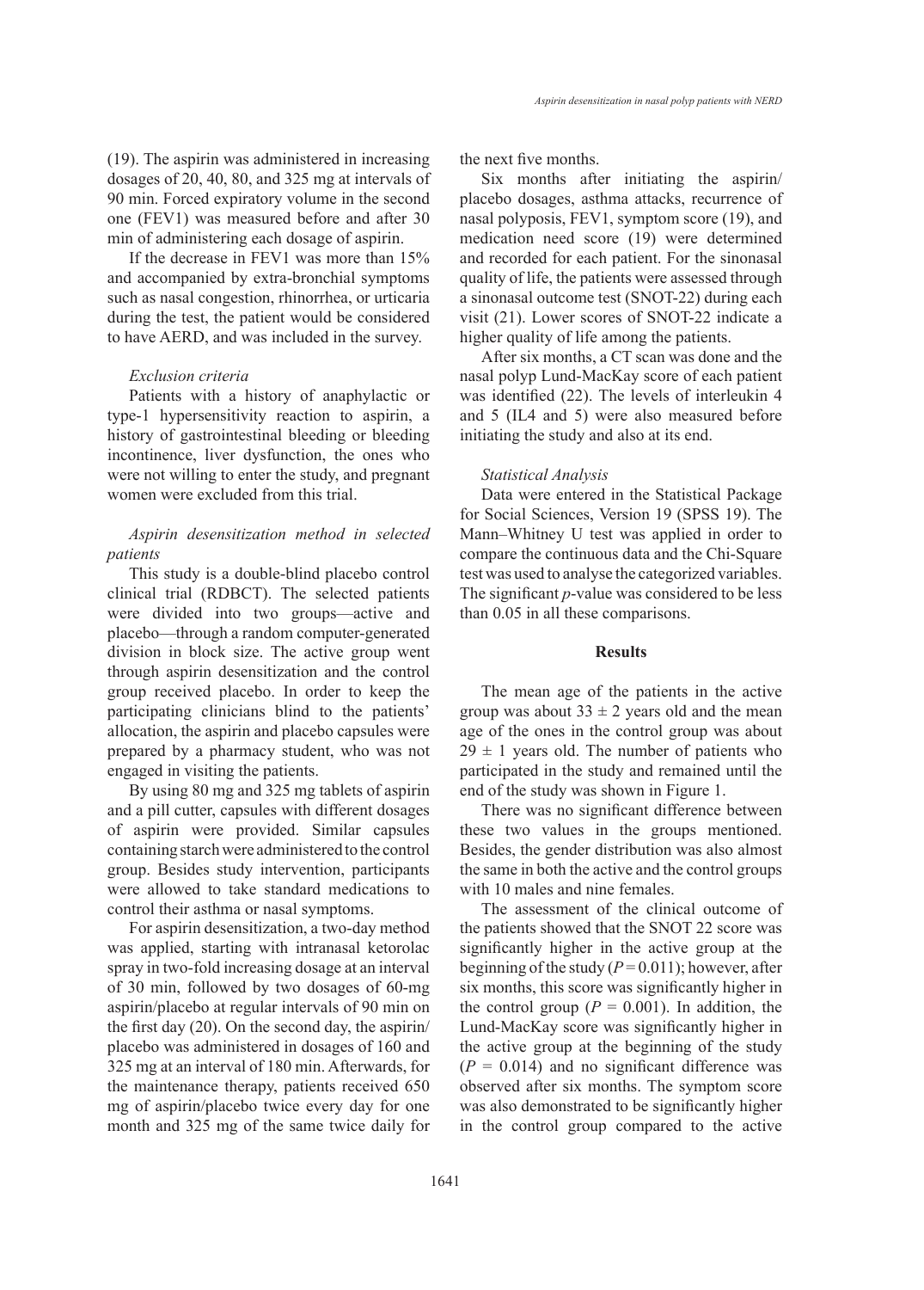(19). The aspirin was administered in increasing dosages of 20, 40, 80, and 325 mg at intervals of 90 min. Forced expiratory volume in the second one (FEV1) was measured before and after 30 min of administering each dosage of aspirin.

If the decrease in FEV1 was more than 15% and accompanied by extra-bronchial symptoms such as nasal congestion, rhinorrhea, or urticaria during the test, the patient would be considered to have AERD, and was included in the survey.

#### *Exclusion criteria*

Patients with a history of anaphylactic or type-1 hypersensitivity reaction to aspirin, a history of gastrointestinal bleeding or bleeding incontinence, liver dysfunction, the ones who were not willing to enter the study, and pregnant women were excluded from this trial.

## *Aspirin desensitization method in selected patients*

This study is a double-blind placebo control clinical trial (RDBCT). The selected patients were divided into two groups—active and placebo—through a random computer-generated division in block size. The active group went through aspirin desensitization and the control group received placebo. In order to keep the participating clinicians blind to the patients' allocation, the aspirin and placebo capsules were prepared by a pharmacy student, who was not engaged in visiting the patients.

By using 80 mg and 325 mg tablets of aspirin and a pill cutter, capsules with different dosages of aspirin were provided. Similar capsules containing starch were administered to the control group. Besides study intervention, participants were allowed to take standard medications to control their asthma or nasal symptoms.

For aspirin desensitization, a two-day method was applied, starting with intranasal ketorolac spray in two-fold increasing dosage at an interval of 30 min, followed by two dosages of 60-mg aspirin/placebo at regular intervals of 90 min on the first day (20). On the second day, the aspirin/ placebo was administered in dosages of 160 and 325 mg at an interval of 180 min. Afterwards, for the maintenance therapy, patients received 650 mg of aspirin/placebo twice every day for one month and 325 mg of the same twice daily for the next five months.

Six months after initiating the aspirin/ placebo dosages, asthma attacks, recurrence of nasal polyposis, FEV1, symptom score (19), and medication need score (19) were determined and recorded for each patient. For the sinonasal quality of life, the patients were assessed through a sinonasal outcome test (SNOT-22) during each visit (21). Lower scores of SNOT-22 indicate a higher quality of life among the patients.

After six months, a CT scan was done and the nasal polyp Lund-MacKay score of each patient was identified (22). The levels of interleukin 4 and 5 (IL4 and 5) were also measured before initiating the study and also at its end.

### *Statistical Analysis*

Data were entered in the Statistical Package for Social Sciences, Version 19 (SPSS 19). The Mann–Whitney U test was applied in order to compare the continuous data and the Chi-Square test was used to analyse the categorized variables. The significant *p*-value was considered to be less than 0.05 in all these comparisons.

### **Results**

The mean age of the patients in the active group was about  $33 \pm 2$  years old and the mean age of the ones in the control group was about  $29 \pm 1$  years old. The number of patients who participated in the study and remained until the end of the study was shown in Figure 1.

There was no significant difference between these two values in the groups mentioned. Besides, the gender distribution was also almost the same in both the active and the control groups with 10 males and nine females.

The assessment of the clinical outcome of the patients showed that the SNOT 22 score was significantly higher in the active group at the beginning of the study  $(P=0.011)$ ; however, after six months, this score was significantly higher in the control group  $(P = 0.001)$ . In addition, the Lund-MacKay score was significantly higher in the active group at the beginning of the study  $(P = 0.014)$  and no significant difference was observed after six months. The symptom score was also demonstrated to be significantly higher in the control group compared to the active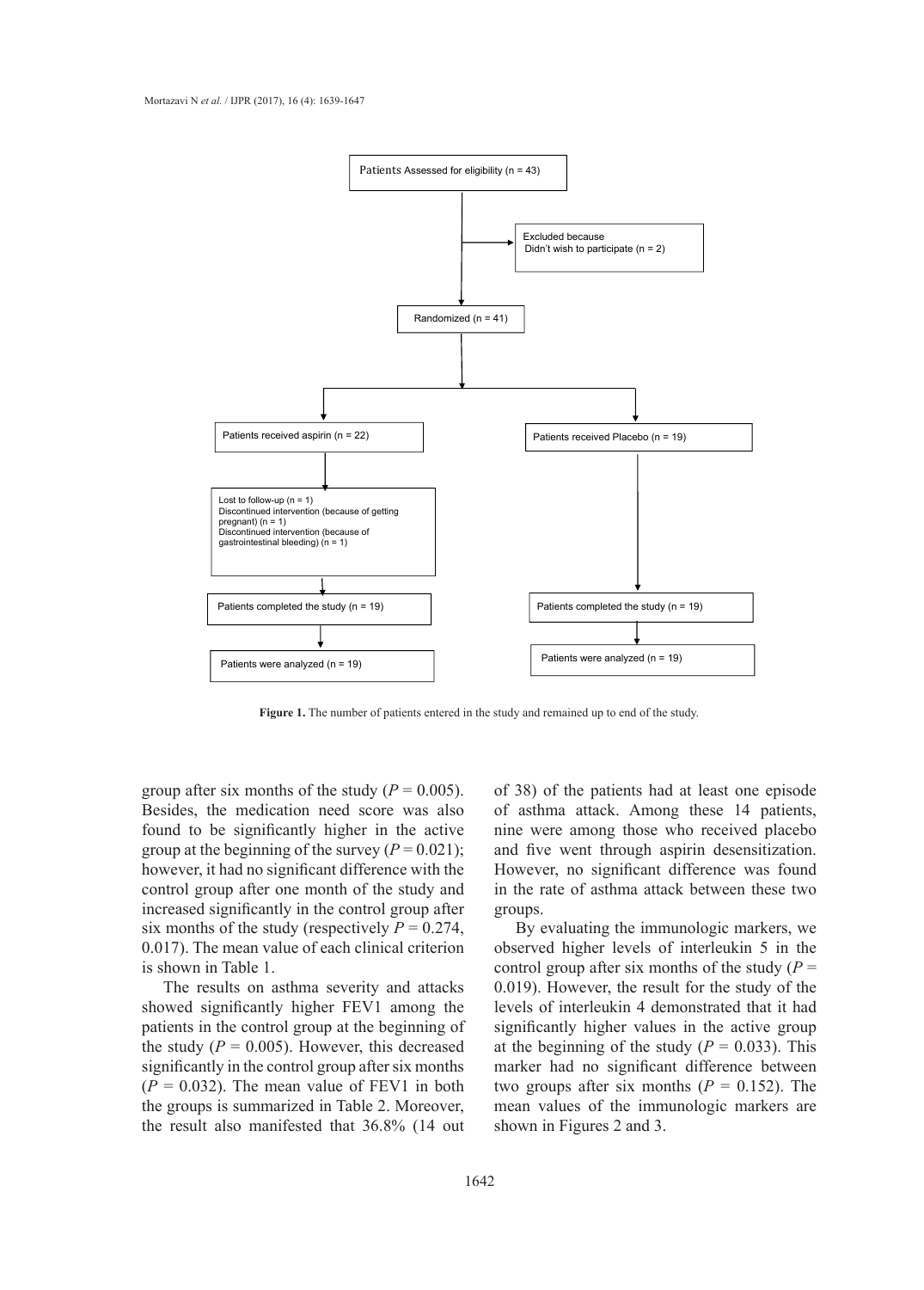

**Figure 1.** The number of patients entered in the study and remained up to end of the study.

group after six months of the study  $(P = 0.005)$ . Besides, the medication need score was also found to be significantly higher in the active group at the beginning of the survey  $(P = 0.021)$ ; however, it had no significant difference with the control group after one month of the study and increased significantly in the control group after six months of the study (respectively  $P = 0.274$ , 0.017). The mean value of each clinical criterion is shown in Table 1.

The results on asthma severity and attacks showed significantly higher FEV1 among the patients in the control group at the beginning of the study  $(P = 0.005)$ . However, this decreased significantly in the control group after six months  $(P = 0.032)$ . The mean value of FEV1 in both the groups is summarized in Table 2. Moreover, the result also manifested that 36.8% (14 out

of 38) of the patients had at least one episode of asthma attack. Among these 14 patients, nine were among those who received placebo and five went through aspirin desensitization. However, no significant difference was found in the rate of asthma attack between these two groups.

By evaluating the immunologic markers, we observed higher levels of interleukin 5 in the control group after six months of the study  $(P =$ 0.019). However, the result for the study of the levels of interleukin 4 demonstrated that it had significantly higher values in the active group at the beginning of the study  $(P = 0.033)$ . This marker had no significant difference between two groups after six months  $(P = 0.152)$ . The mean values of the immunologic markers are shown in Figures 2 and 3.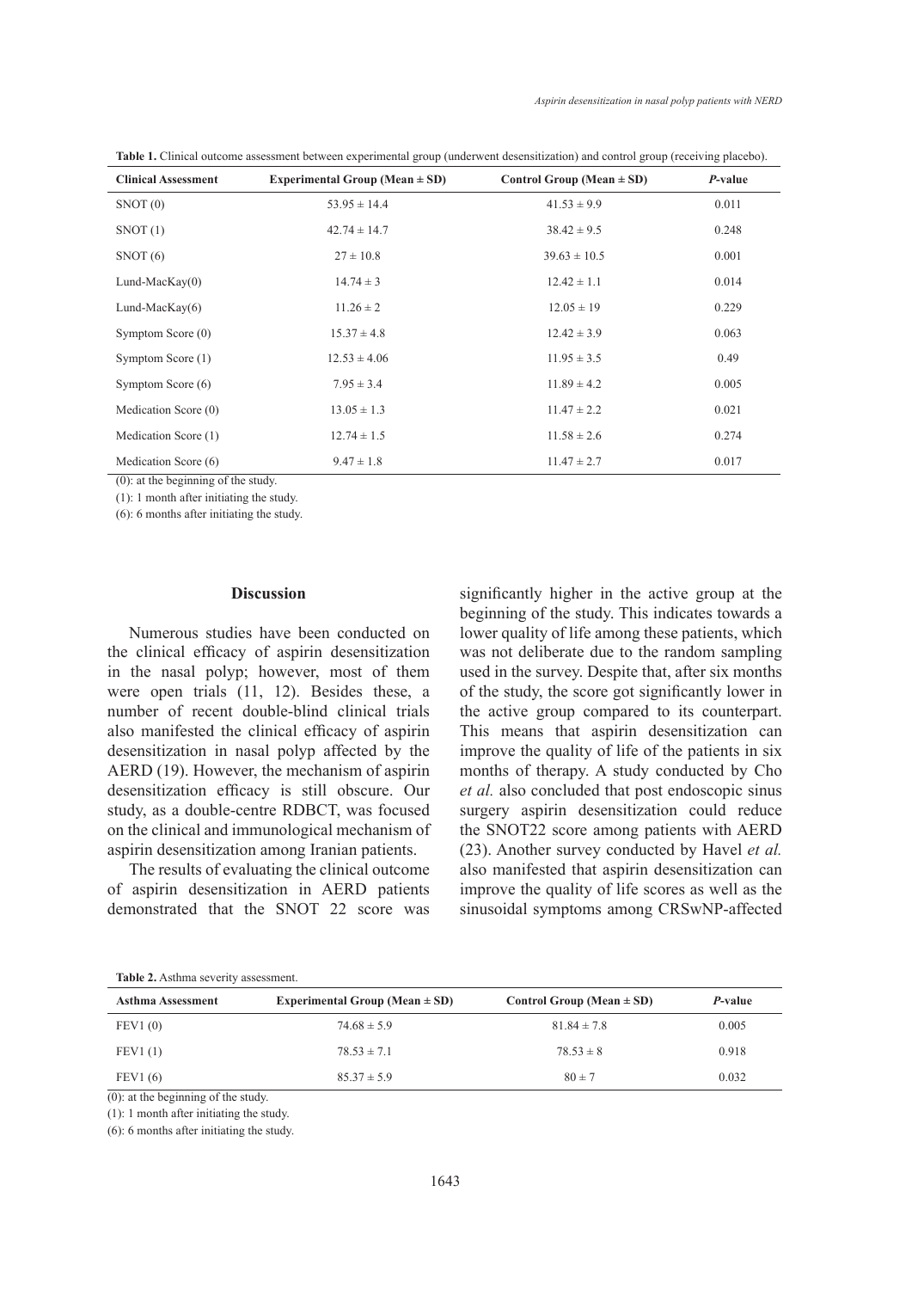| <b>Clinical Assessment</b> | Experimental Group (Mean $\pm$ SD) | Control Group (Mean $\pm$ SD) | P-value |  |
|----------------------------|------------------------------------|-------------------------------|---------|--|
| SNOT(0)                    | $53.95 \pm 14.4$                   | $41.53 \pm 9.9$               | 0.011   |  |
| SNOT(1)                    | $42.74 \pm 14.7$                   | $38.42 \pm 9.5$               | 0.248   |  |
| SNOT(6)                    | $27 \pm 10.8$                      | $39.63 \pm 10.5$              | 0.001   |  |
| Lund-Mac $Kay(0)$          | $14.74 \pm 3$                      | $12.42 \pm 1.1$               | 0.014   |  |
| Lund-Mac $\text{Kav}(6)$   | $11.26 \pm 2$                      | $12.05 \pm 19$                | 0.229   |  |
| Symptom Score (0)          | $15.37 \pm 4.8$                    | $12.42 \pm 3.9$               | 0.063   |  |
| Symptom Score (1)          | $12.53 \pm 4.06$                   | $11.95 \pm 3.5$               | 0.49    |  |
| Symptom Score (6)          | $7.95 \pm 3.4$                     | $11.89 \pm 4.2$               | 0.005   |  |
| Medication Score (0)       | $13.05 \pm 1.3$                    | $11.47 \pm 2.2$               | 0.021   |  |
| Medication Score (1)       | $12.74 \pm 1.5$                    | $11.58 \pm 2.6$               | 0.274   |  |
| Medication Score (6)       | $9.47 \pm 1.8$                     | $11.47 \pm 2.7$               | 0.017   |  |

**Table 1.** Clinical outcome assessment between experimental group (underwent desensitization) and control group (receiving placebo).

(0): at the beginning of the study.

(1): 1 month after initiating the study.

(6): 6 months after initiating the study.

#### **Discussion**

Numerous studies have been conducted on the clinical efficacy of aspirin desensitization in the nasal polyp; however, most of them were open trials (11, 12). Besides these, a number of recent double-blind clinical trials also manifested the clinical efficacy of aspirin desensitization in nasal polyp affected by the AERD (19). However, the mechanism of aspirin desensitization efficacy is still obscure. Our study, as a double-centre RDBCT, was focused on the clinical and immunological mechanism of aspirin desensitization among Iranian patients.

The results of evaluating the clinical outcome of aspirin desensitization in AERD patients demonstrated that the SNOT 22 score was significantly higher in the active group at the beginning of the study. This indicates towards a lower quality of life among these patients, which was not deliberate due to the random sampling used in the survey. Despite that, after six months of the study, the score got significantly lower in the active group compared to its counterpart. This means that aspirin desensitization can improve the quality of life of the patients in six months of therapy. A study conducted by Cho *et al.* also concluded that post endoscopic sinus surgery aspirin desensitization could reduce the SNOT22 score among patients with AERD (23). Another survey conducted by Havel *et al.* also manifested that aspirin desensitization can improve the quality of life scores as well as the sinusoidal symptoms among CRSwNP-affected

**Table 2.** Asthma severity assessment.

| <b>Asthma Assessment</b>             | Experimental Group (Mean $\pm$ SD) | Control Group (Mean $\pm$ SD) | <i>P</i> -value |
|--------------------------------------|------------------------------------|-------------------------------|-----------------|
| FEV1(0)                              | $74.68 \pm 5.9$                    | $81.84 \pm 7.8$               | 0.005           |
| FEV1(1)                              | $78.53 \pm 7.1$                    | $78.53 \pm 8$                 | 0.918           |
| FEV1(6)                              | $85.37 \pm 5.9$                    | $80 \pm 7$                    | 0.032           |
| $(0)$ of the haginning of the study. |                                    |                               |                 |

(0): at the beginning of the study.

(1): 1 month after initiating the study.

(6): 6 months after initiating the study.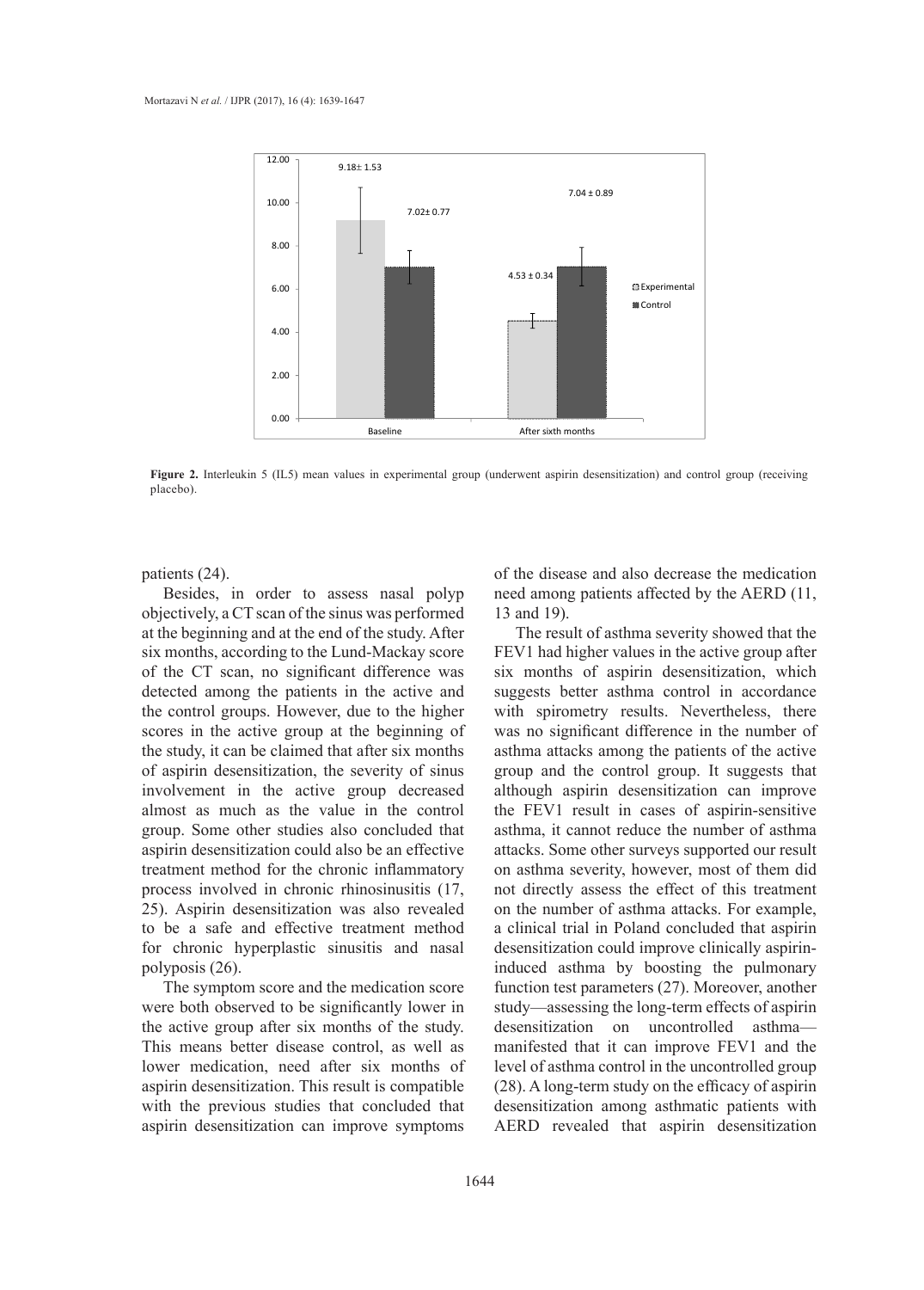

**Figure 2.** Interleukin 5 (IL5) mean values in experimental group (underwent aspirin desensitization) and control group (receiving placebo).

patients (24).

Besides, in order to assess nasal polyp objectively, a CT scan of the sinus was performed at the beginning and at the end of the study. After six months, according to the Lund-Mackay score of the CT scan, no significant difference was detected among the patients in the active and the control groups. However, due to the higher scores in the active group at the beginning of the study, it can be claimed that after six months of aspirin desensitization, the severity of sinus involvement in the active group decreased almost as much as the value in the control group. Some other studies also concluded that aspirin desensitization could also be an effective treatment method for the chronic inflammatory process involved in chronic rhinosinusitis (17, 25). Aspirin desensitization was also revealed to be a safe and effective treatment method for chronic hyperplastic sinusitis and nasal polyposis (26).

The symptom score and the medication score were both observed to be significantly lower in the active group after six months of the study. This means better disease control, as well as lower medication, need after six months of aspirin desensitization. This result is compatible with the previous studies that concluded that aspirin desensitization can improve symptoms

of the disease and also decrease the medication need among patients affected by the AERD (11, 13 and 19).

The result of asthma severity showed that the FEV1 had higher values in the active group after six months of aspirin desensitization, which suggests better asthma control in accordance with spirometry results. Nevertheless, there was no significant difference in the number of asthma attacks among the patients of the active group and the control group. It suggests that although aspirin desensitization can improve the FEV1 result in cases of aspirin-sensitive asthma, it cannot reduce the number of asthma attacks. Some other surveys supported our result on asthma severity, however, most of them did not directly assess the effect of this treatment on the number of asthma attacks. For example, a clinical trial in Poland concluded that aspirin desensitization could improve clinically aspirininduced asthma by boosting the pulmonary function test parameters (27). Moreover, another study—assessing the long-term effects of aspirin desensitization on uncontrolled asthma manifested that it can improve FEV1 and the level of asthma control in the uncontrolled group (28). A long-term study on the efficacy of aspirin desensitization among asthmatic patients with AERD revealed that aspirin desensitization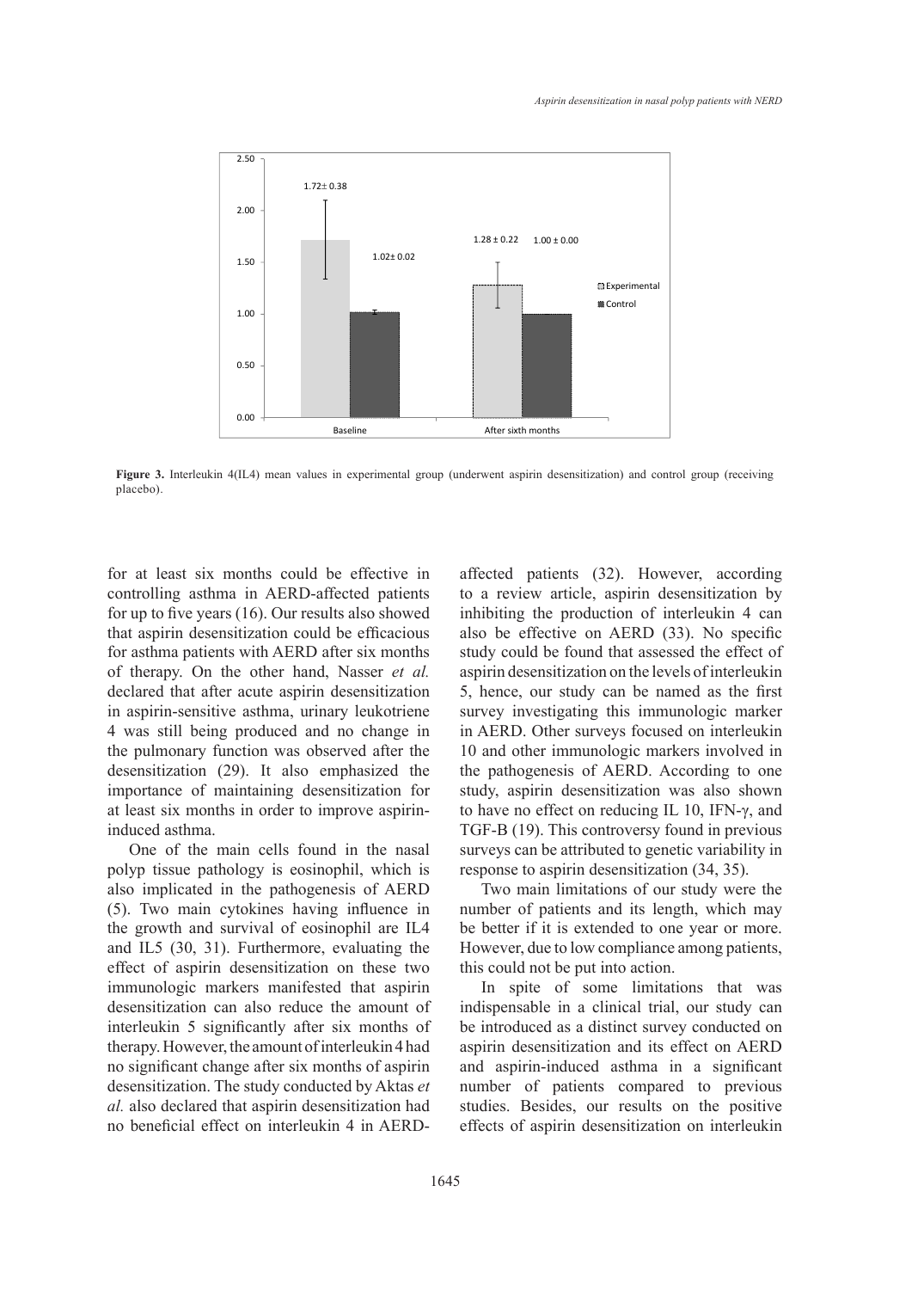

**Figure 3.** Interleukin 4(IL4) mean values in experimental group (underwent aspirin desensitization) and control group (receiving placebo). **Figure 3.** Interleuking interleuking in experimental group (underwent as pirinterwent as pirinterwent as

for at least six months could be effective in controlling asthma in AERD-affected patients for up to five years (16). Our results also showed that aspirin desensitization could be efficacious for asthma patients with AERD after six months of therapy. On the other hand, Nasser *et al.* aspirin desensitization on the lev declared that after acute aspirin desensitization in aspirin-sensitive asthma, urinary leukotriene 4 was still being produced and no change in in AERD. Other surveys focuse the pulmonary function was observed after the desensitization (29). It also emphasized the importance of maintaining desensitization for at least six months in order to improve aspirininduced asthma.

One of the main cells found in the nasal polyp tissue pathology is eosinophil, which is also implicated in the pathogenesis of AERD (5). Two main cytokines having influence in the growth and survival of eosinophil are IL4 and IL5 (30, 31). Furthermore, evaluating the effect of aspirin desensitization on these two immunologic markers manifested that aspirin desensitization can also reduce the amount of interleukin 5 significantly after six months of therapy. However, the amount of interleukin 4 had no significant change after six months of aspirin desensitization. The study conducted by Aktas *et al.* also declared that aspirin desensitization had no beneficial effect on interleukin 4 in AERD-

affected patients (32). However, according ma in AERD-affected patients to a review article, aspirin desensitization by inhibiting the production of interleukin 4 can nsitization could be efficacious also be effective on AERD (33). No specific nts with AERD after six months study could be found that assessed the effect of aspirin desensitization on the levels of interleukin 5, hence, our study can be named as the first ve asthma, urinary leukotriene survey investigating this immunologic marker in AERD. Other surveys focused on interleukin 10 and other immunologic markers involved in the pathogenesis of AERD. According to one maintaining desensitization for study, aspirin desensitization was also shown hs in order to improve aspirin-<br>to have no effect on reducing IL 10, IFN- $\gamma$ , and TGF-B (19). This controversy found in previous surveys can be attributed to genetic variability in response to aspirin desensitization (34, 35).

> Two main limitations of our study were the number of patients and its length, which may be better if it is extended to one year or more. However, due to low compliance among patients, this could not be put into action.

> In spite of some limitations that was indispensable in a clinical trial, our study can be introduced as a distinct survey conducted on aspirin desensitization and its effect on AERD and aspirin-induced asthma in a significant number of patients compared to previous studies. Besides, our results on the positive effects of aspirin desensitization on interleukin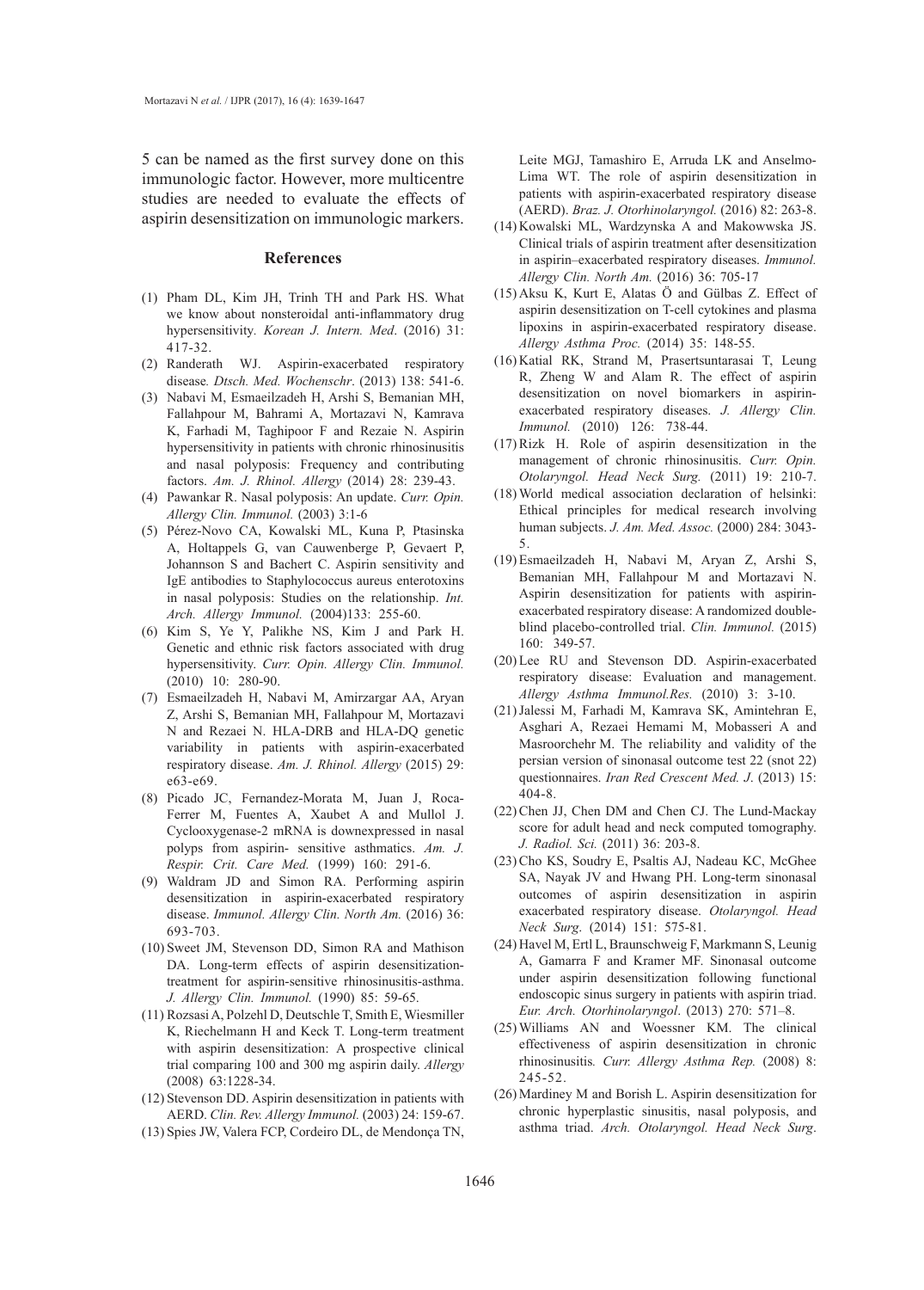5 can be named as the first survey done on this immunologic factor. However, more multicentre studies are needed to evaluate the effects of aspirin desensitization on immunologic markers.

#### **References**

- Pham DL, Kim JH, Trinh TH and Park HS. What (1) we know about nonsteroidal anti-inflammatory drug hypersensitivity*. Korean J. Intern. Med*. (2016) 31: 417-32.
- (2) Randerath WJ. Aspirin-exacerbated respiratory disease*. Dtsch. Med. Wochenschr*. (2013) 138: 541-6.
- Nabavi M, Esmaeilzadeh H, Arshi S, Bemanian MH, (3) Fallahpour M, Bahrami A, Mortazavi N, Kamrava K, Farhadi M, Taghipoor F and Rezaie N. Aspirin hypersensitivity in patients with chronic rhinosinusitis and nasal polyposis: Frequency and contributing factors. *Am. J. Rhinol. Allergy* (2014) 28: 239-43.
- Pawankar R. Nasal polyposis: An update. *Curr. Opin.*  (4) *Allergy Clin. Immunol.* (2003) 3:1-6
- Pérez-Novo CA, Kowalski ML, Kuna P, Ptasinska (5) A, Holtappels G, van Cauwenberge P, Gevaert P, Johannson S and Bachert C. Aspirin sensitivity and IgE antibodies to Staphylococcus aureus enterotoxins in nasal polyposis: Studies on the relationship. *Int. Arch. Allergy Immunol.* (2004)133: 255-60.
- $(6)$  Kim S, Ye Y, Palikhe NS, Kim J and Park H. Genetic and ethnic risk factors associated with drug hypersensitivity. *Curr. Opin. Allergy Clin. Immunol.* (2010) 10: 280-90.
- Esmaeilzadeh H, Nabavi M, Amirzargar AA, Aryan (7) Z, Arshi S, Bemanian MH, Fallahpour M, Mortazavi N and Rezaei N. HLA-DRB and HLA-DQ genetic variability in patients with aspirin-exacerbated respiratory disease. *Am. J. Rhinol. Allergy* (2015) 29: e63-e69.
- Picado JC, Fernandez-Morata M, Juan J, Roca-(8) Ferrer M, Fuentes A, Xaubet A and Mullol J. Cyclooxygenase-2 mRNA is downexpressed in nasal polyps from aspirin- sensitive asthmatics. *Am. J. Respir. Crit. Care Med.* (1999) 160: 291-6.
- Waldram JD and Simon RA. Performing aspirin (9) desensitization in aspirin-exacerbated respiratory disease. *Immunol. Allergy Clin. North Am.* (2016) 36: 693-703.
- (10) Sweet JM, Stevenson DD, Simon RA and Mathison DA. Long-term effects of aspirin desensitizationtreatment for aspirin-sensitive rhinosinusitis-asthma. *J. Allergy Clin. Immunol.* (1990) 85: 59-65.
- (11) Rozsasi A, Polzehl D, Deutschle T, Smith E, Wiesmiller K, Riechelmann H and Keck T. Long-term treatment with aspirin desensitization: A prospective clinical trial comparing 100 and 300 mg aspirin daily. *Allergy* (2008) 63:1228-34.
- (12) Stevenson DD. Aspirin desensitization in patients with AERD. *Clin. Rev. Allergy Immunol.* (2003) 24: 159-67.
- (13) Spies JW, Valera FCP, Cordeiro DL, de Mendonça TN,

Leite MGJ, Tamashiro E, Arruda LK and Anselmo-Lima WT. The role of aspirin desensitization in patients with aspirin-exacerbated respiratory disease (AERD). *Braz. J. Otorhinolaryngol.* (2016) 82: 263-8.

- (14) Kowalski ML, Wardzynska A and Makowwska JS. Clinical trials of aspirin treatment after desensitization in aspirin–exacerbated respiratory diseases. *Immunol. Allergy Clin. North Am.* (2016) 36: 705-17
- $(15)$  Aksu K, Kurt E, Alatas O and Gülbas Z. Effect of aspirin desensitization on T-cell cytokines and plasma lipoxins in aspirin-exacerbated respiratory disease. *Allergy Asthma Proc.* (2014) 35: 148-55.
- (16) Katial RK, Strand M, Prasertsuntarasai T, Leung R, Zheng W and Alam R. The effect of aspirin desensitization on novel biomarkers in aspirinexacerbated respiratory diseases. *J. Allergy Clin. Immunol.* (2010) 126: 738-44.
- $(17)$  Rizk H. Role of aspirin desensitization in the management of chronic rhinosinusitis. *Curr. Opin. Otolaryngol. Head Neck Surg.* (2011) 19: 210-7.
- World medical association declaration of helsinki: (18) Ethical principles for medical research involving human subjects. *J. Am. Med. Assoc.* (2000) 284: 3043- 5.
- Esmaeilzadeh H, Nabavi M, Aryan Z, Arshi S, (19) Bemanian MH, Fallahpour M and Mortazavi N. Aspirin desensitization for patients with aspirinexacerbated respiratory disease: A randomized doubleblind placebo-controlled trial. *Clin. Immunol.* (2015) 160: 349-57.
- (20) Lee RU and Stevenson DD. Aspirin-exacerbated respiratory disease: Evaluation and management. *Allergy Asthma Immunol.Res.* (2010) 3: 3-10.
- (21) Jalessi M, Farhadi M, Kamrava SK, Amintehran E, Asghari A, Rezaei Hemami M, Mobasseri A and Masroorchehr M. The reliability and validity of the persian version of sinonasal outcome test 22 (snot 22) questionnaires. *Iran Red Crescent Med. J*. (2013) 15: 404-8.
- (22) Chen JJ, Chen DM and Chen CJ. The Lund-Mackay score for adult head and neck computed tomography. *J. Radiol. Sci.* (2011) 36: 203-8.
- (23) Cho KS, Soudry E, Psaltis AJ, Nadeau KC, McGhee SA, Nayak JV and Hwang PH. Long-term sinonasal outcomes of aspirin desensitization in aspirin exacerbated respiratory disease. *Otolaryngol. Head Neck Surg*. (2014) 151: 575-81.
- (24) Havel M, Ertl L, Braunschweig F, Markmann S, Leunig A, Gamarra F and Kramer MF. Sinonasal outcome under aspirin desensitization following functional endoscopic sinus surgery in patients with aspirin triad. *Eur. Arch. Otorhinolaryngol*. (2013) 270: 571–8.
- (25) Williams AN and Woessner KM. The clinical effectiveness of aspirin desensitization in chronic rhinosinusitis*. Curr. Allergy Asthma Rep.* (2008) 8: 245-52.
- (26) Mardiney M and Borish L. Aspirin desensitization for chronic hyperplastic sinusitis, nasal polyposis, and asthma triad. *Arch. Otolaryngol. Head Neck Surg*.